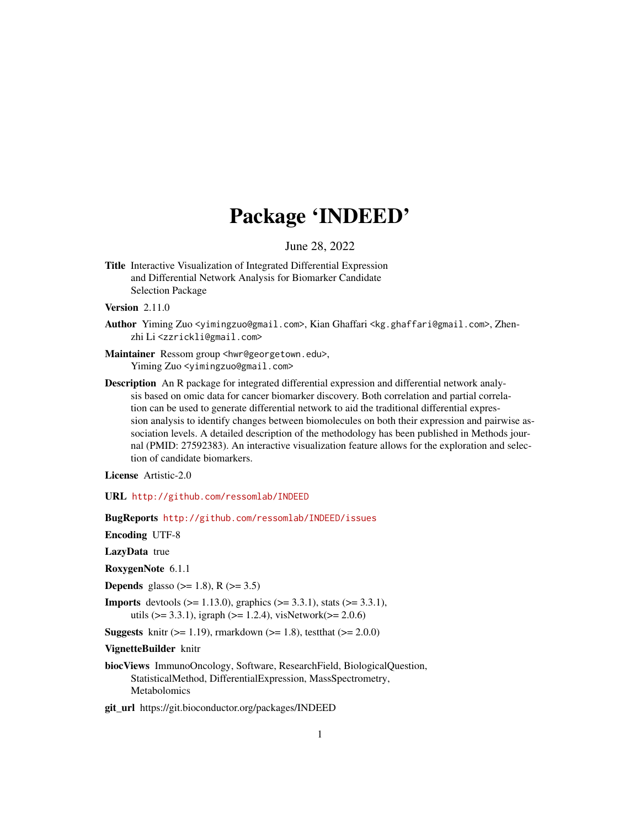# Package 'INDEED'

June 28, 2022

Title Interactive Visualization of Integrated Differential Expression and Differential Network Analysis for Biomarker Candidate Selection Package

**Version** 2.11.0

- Author Yiming Zuo <yimingzuo@gmail.com>, Kian Ghaffari <kg.ghaffari@gmail.com>, Zhenzhi Li <zzrickli@gmail.com>
- Maintainer Ressom group <hwr@georgetown.edu>, Yiming Zuo <yimingzuo@gmail.com>
- Description An R package for integrated differential expression and differential network analysis based on omic data for cancer biomarker discovery. Both correlation and partial correlation can be used to generate differential network to aid the traditional differential expression analysis to identify changes between biomolecules on both their expression and pairwise association levels. A detailed description of the methodology has been published in Methods journal (PMID: 27592383). An interactive visualization feature allows for the exploration and selection of candidate biomarkers.

License Artistic-2.0

URL <http://github.com/ressomlab/INDEED>

BugReports <http://github.com/ressomlab/INDEED/issues>

Encoding UTF-8

LazyData true

RoxygenNote 6.1.1

**Depends** glasso ( $>= 1.8$ ), R ( $>= 3.5$ )

**Imports** devtools ( $> = 1.13.0$ ), graphics ( $> = 3.3.1$ ), stats ( $> = 3.3.1$ ), utils ( $> = 3.3.1$ ), igraph ( $> = 1.2.4$ ), visNetwork( $> = 2.0.6$ )

**Suggests** knitr ( $>= 1.19$ ), rmarkdown ( $>= 1.8$ ), test that ( $>= 2.0.0$ )

VignetteBuilder knitr

biocViews ImmunoOncology, Software, ResearchField, BiologicalQuestion, StatisticalMethod, DifferentialExpression, MassSpectrometry, Metabolomics

git\_url https://git.bioconductor.org/packages/INDEED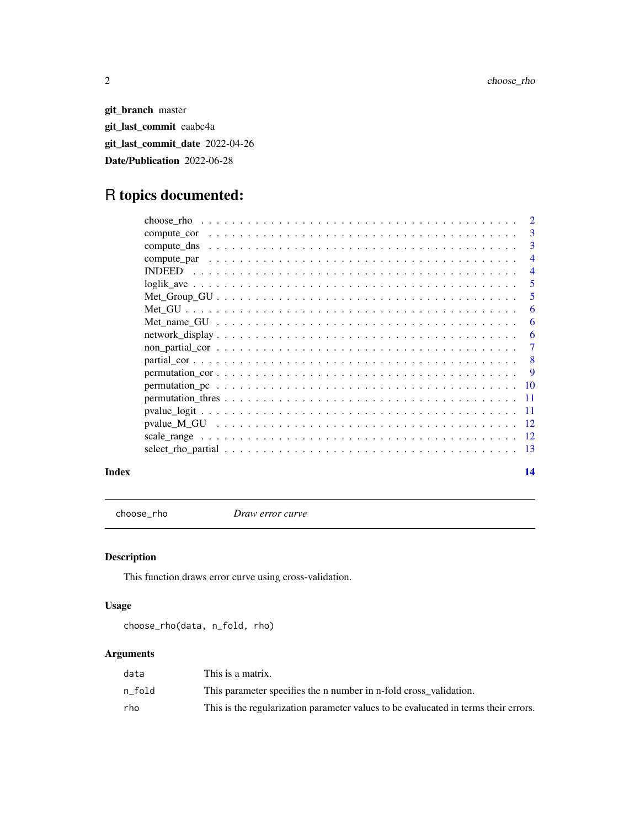git\_branch master git\_last\_commit caabc4a git\_last\_commit\_date 2022-04-26 Date/Publication 2022-06-28

# R topics documented:

|       | $\overline{4}$ |
|-------|----------------|
|       | $\overline{4}$ |
|       | -5             |
|       | 5              |
|       | 6              |
|       | -6             |
|       | -6             |
|       |                |
|       |                |
|       |                |
|       |                |
|       |                |
|       |                |
|       |                |
|       |                |
|       |                |
| Index | 14             |

choose\_rho *Draw error curve*

# Description

This function draws error curve using cross-validation.

# Usage

choose\_rho(data, n\_fold, rho)

# Arguments

| data   | This is a matrix.                                                                   |
|--------|-------------------------------------------------------------------------------------|
| n fold | This parameter specifies the n number in n-fold cross validation.                   |
| rho    | This is the regularization parameter values to be evalueated in terms their errors. |

<span id="page-1-0"></span>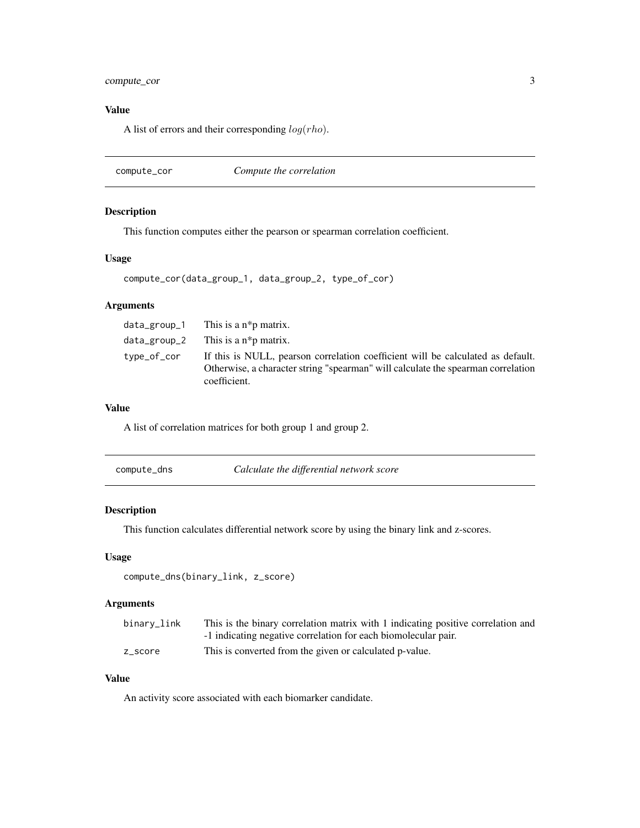# <span id="page-2-0"></span>compute\_cor 3

# Value

A list of errors and their corresponding  $log(rho)$ .

compute\_cor *Compute the correlation*

# Description

This function computes either the pearson or spearman correlation coefficient.

# Usage

```
compute_cor(data_group_1, data_group_2, type_of_cor)
```
# Arguments

|             | $data\_group_1$ This is a $n*p$ matrix.                                                                                                                                             |
|-------------|-------------------------------------------------------------------------------------------------------------------------------------------------------------------------------------|
|             | $data\_group_2$ This is a $n *p$ matrix.                                                                                                                                            |
| type_of_cor | If this is NULL, pearson correlation coefficient will be calculated as default.<br>Otherwise, a character string "spearman" will calculate the spearman correlation<br>coefficient. |

# Value

A list of correlation matrices for both group 1 and group 2.

| compute_dns | Calculate the differential network score |
|-------------|------------------------------------------|
|-------------|------------------------------------------|

#### Description

This function calculates differential network score by using the binary link and z-scores.

# Usage

```
compute_dns(binary_link, z_score)
```
# Arguments

| binary_link | This is the binary correlation matrix with 1 indicating positive correlation and |
|-------------|----------------------------------------------------------------------------------|
|             | -1 indicating negative correlation for each biomolecular pair.                   |
| z score     | This is converted from the given or calculated p-value.                          |

# Value

An activity score associated with each biomarker candidate.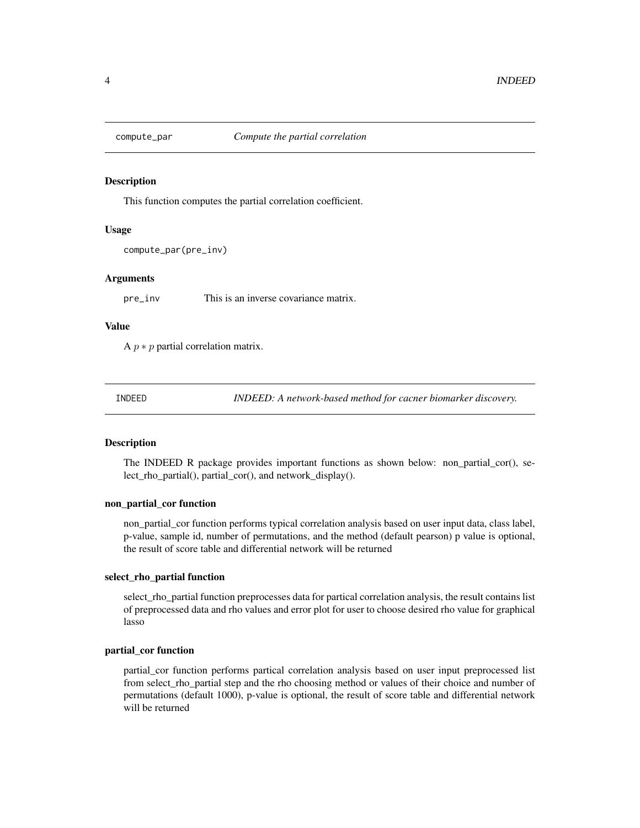<span id="page-3-0"></span>

### Description

This function computes the partial correlation coefficient.

# Usage

```
compute_par(pre_inv)
```
#### Arguments

pre\_inv This is an inverse covariance matrix.

### Value

A  $p * p$  partial correlation matrix.

INDEED *INDEED: A network-based method for cacner biomarker discovery.*

# **Description**

The INDEED R package provides important functions as shown below: non\_partial\_cor(), select\_rho\_partial(), partial\_cor(), and network\_display().

#### non\_partial\_cor function

non\_partial\_cor function performs typical correlation analysis based on user input data, class label, p-value, sample id, number of permutations, and the method (default pearson) p value is optional, the result of score table and differential network will be returned

#### select\_rho\_partial function

select\_rho\_partial function preprocesses data for partical correlation analysis, the result contains list of preprocessed data and rho values and error plot for user to choose desired rho value for graphical lasso

#### partial\_cor function

partial\_cor function performs partical correlation analysis based on user input preprocessed list from select\_rho\_partial step and the rho choosing method or values of their choice and number of permutations (default 1000), p-value is optional, the result of score table and differential network will be returned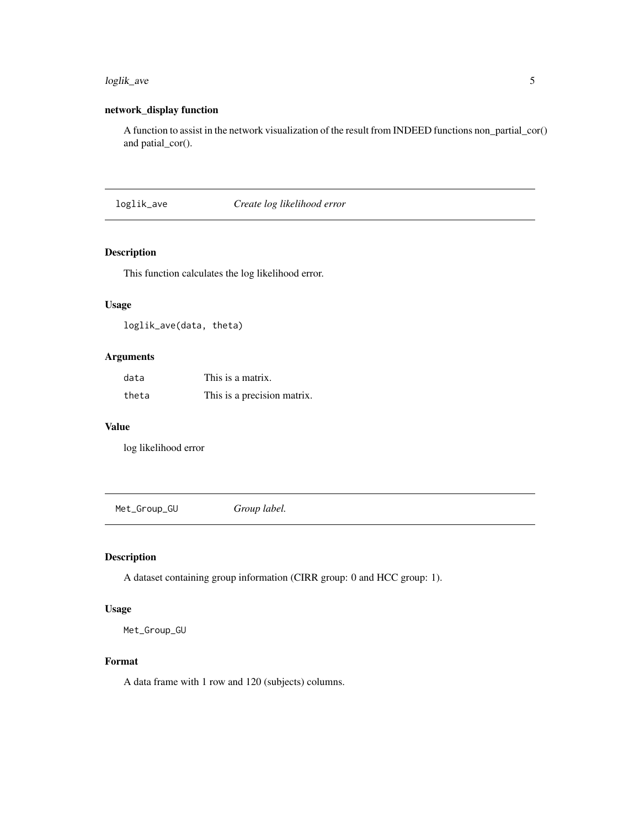# <span id="page-4-0"></span>loglik\_ave 5

# network\_display function

A function to assist in the network visualization of the result from INDEED functions non\_partial\_cor() and patial\_cor().

loglik\_ave *Create log likelihood error*

# Description

This function calculates the log likelihood error.

# Usage

loglik\_ave(data, theta)

# Arguments

| data  | This is a matrix.           |
|-------|-----------------------------|
| theta | This is a precision matrix. |

# Value

log likelihood error

Met\_Group\_GU *Group label.*

# Description

A dataset containing group information (CIRR group: 0 and HCC group: 1).

# Usage

Met\_Group\_GU

# Format

A data frame with 1 row and 120 (subjects) columns.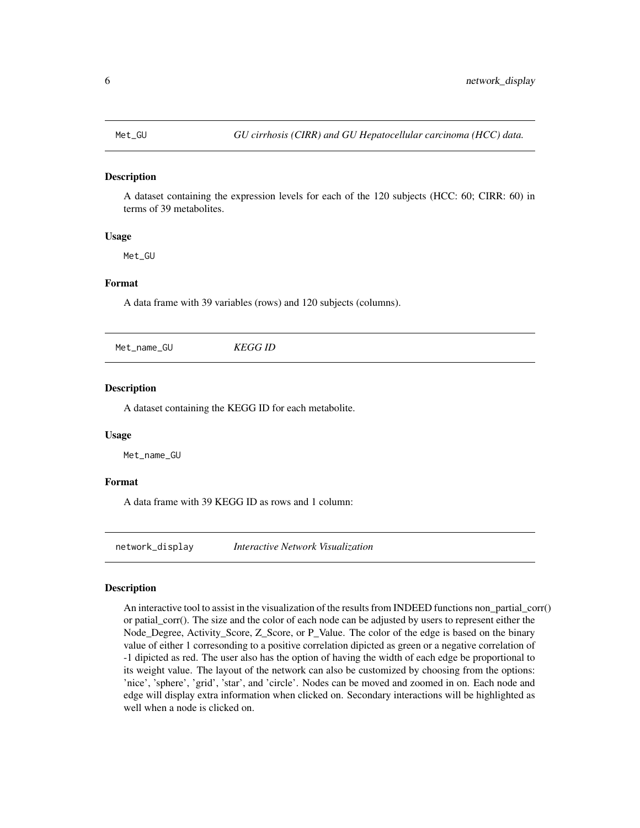<span id="page-5-0"></span>

#### Description

A dataset containing the expression levels for each of the 120 subjects (HCC: 60; CIRR: 60) in terms of 39 metabolites.

#### Usage

Met\_GU

#### Format

A data frame with 39 variables (rows) and 120 subjects (columns).

Met\_name\_GU *KEGG ID*

#### Description

A dataset containing the KEGG ID for each metabolite.

### Usage

Met\_name\_GU

#### Format

A data frame with 39 KEGG ID as rows and 1 column:

network\_display *Interactive Network Visualization*

#### Description

An interactive tool to assist in the visualization of the results from INDEED functions non\_partial\_corr() or patial\_corr(). The size and the color of each node can be adjusted by users to represent either the Node\_Degree, Activity\_Score, Z\_Score, or P\_Value. The color of the edge is based on the binary value of either 1 corresonding to a positive correlation dipicted as green or a negative correlation of -1 dipicted as red. The user also has the option of having the width of each edge be proportional to its weight value. The layout of the network can also be customized by choosing from the options: 'nice', 'sphere', 'grid', 'star', and 'circle'. Nodes can be moved and zoomed in on. Each node and edge will display extra information when clicked on. Secondary interactions will be highlighted as well when a node is clicked on.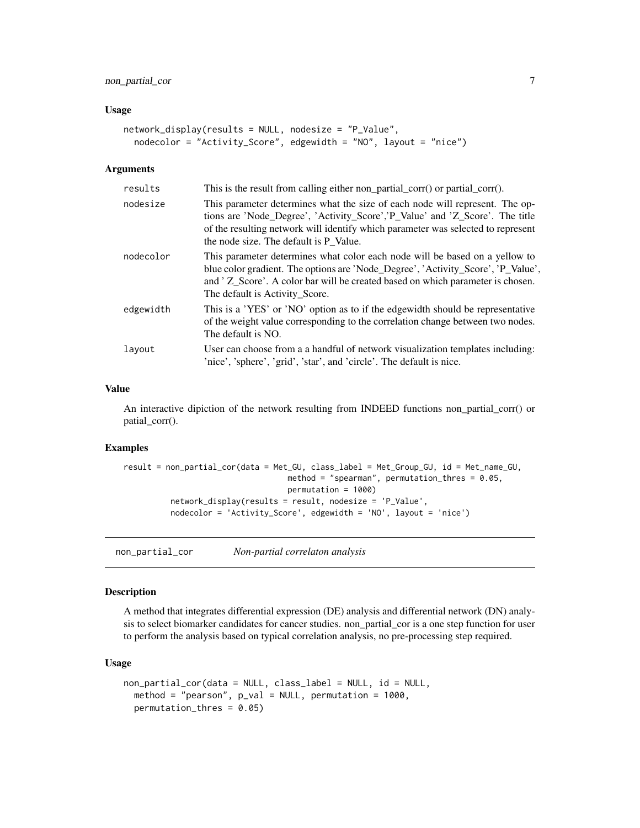# <span id="page-6-0"></span>non\_partial\_cor 7

#### Usage

```
network_display(results = NULL, nodesize = "P_Value",
 nodecolor = "Activity_Score", edgewidth = "NO", layout = "nice")
```
#### Arguments

| results   | This is the result from calling either non_partial_corr() or partial_corr().                                                                                                                                                                                                               |
|-----------|--------------------------------------------------------------------------------------------------------------------------------------------------------------------------------------------------------------------------------------------------------------------------------------------|
| nodesize  | This parameter determines what the size of each node will represent. The op-<br>tions are 'Node_Degree', 'Activity_Score','P_Value' and 'Z_Score'. The title<br>of the resulting network will identify which parameter was selected to represent<br>the node size. The default is P_Value. |
| nodecolor | This parameter determines what color each node will be based on a yellow to<br>blue color gradient. The options are 'Node_Degree', 'Activity_Score', 'P_Value',<br>and 'Z_Score'. A color bar will be created based on which parameter is chosen.<br>The default is Activity_Score.        |
| edgewidth | This is a 'YES' or 'NO' option as to if the edgewidth should be representative<br>of the weight value corresponding to the correlation change between two nodes.<br>The default is NO.                                                                                                     |
| layout    | User can choose from a a handful of network visualization templates including:<br>'nice', 'sphere', 'grid', 'star', and 'circle'. The default is nice.                                                                                                                                     |

#### Value

An interactive dipiction of the network resulting from INDEED functions non\_partial\_corr() or patial\_corr().

# Examples

```
result = non_partial_cor(data = Met_GU, class_label = Met_Group_GU, id = Met_name_GU,
                                  method = "spearman", permutation_thres = 0.05,
                                  permutation = 1000)
          network_display(results = result, nodesize = 'P_Value',
          nodecolor = 'Activity_Score', edgewidth = 'NO', layout = 'nice')
```
non\_partial\_cor *Non-partial correlaton analysis*

# Description

A method that integrates differential expression (DE) analysis and differential network (DN) analysis to select biomarker candidates for cancer studies. non\_partial\_cor is a one step function for user to perform the analysis based on typical correlation analysis, no pre-processing step required.

#### Usage

```
non_partial_cor(data = NULL, class_label = NULL, id = NULL,
 method = "pearson", p_val = NULL, permutation = 1000,
 permutation_thres = 0.05)
```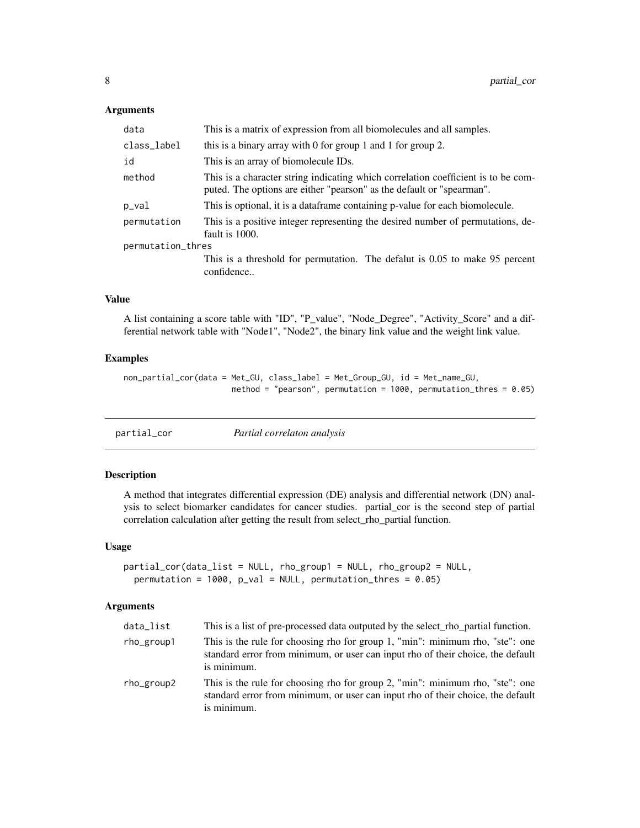#### <span id="page-7-0"></span>Arguments

| data              | This is a matrix of expression from all biomolecules and all samples.                                                                                      |
|-------------------|------------------------------------------------------------------------------------------------------------------------------------------------------------|
| class_label       | this is a binary array with 0 for group 1 and 1 for group 2.                                                                                               |
| id                | This is an array of biomolecule IDs.                                                                                                                       |
| method            | This is a character string indicating which correlation coefficient is to be com-<br>puted. The options are either "pearson" as the default or "spearman". |
| p_val             | This is optional, it is a dataframe containing p-value for each biomolecule.                                                                               |
| permutation       | This is a positive integer representing the desired number of permutations, de-<br>fault is 1000.                                                          |
| permutation_thres |                                                                                                                                                            |
|                   | This is a threshold for permutation. The defalut is 0.05 to make 95 percent<br>confidence                                                                  |

# Value

A list containing a score table with "ID", "P\_value", "Node\_Degree", "Activity\_Score" and a differential network table with "Node1", "Node2", the binary link value and the weight link value.

#### Examples

non\_partial\_cor(data = Met\_GU, class\_label = Met\_Group\_GU, id = Met\_name\_GU, method = "pearson", permutation = 1000, permutation\_thres = 0.05)

| partial_cor | Partial correlaton analysis |  |
|-------------|-----------------------------|--|
|             |                             |  |

# Description

A method that integrates differential expression (DE) analysis and differential network (DN) analysis to select biomarker candidates for cancer studies. partial\_cor is the second step of partial correlation calculation after getting the result from select\_rho\_partial function.

#### Usage

```
partial_cor(data_list = NULL, rho_group1 = NULL, rho_group2 = NULL,
 permutation = 1000, p_val = NULL, permutation_thres = 0.05)
```
#### Arguments

| data_list  | This is a list of pre-processed data outputed by the select_rho_partial function.                                                                                               |
|------------|---------------------------------------------------------------------------------------------------------------------------------------------------------------------------------|
| rho_group1 | This is the rule for choosing rho for group 1, "min": minimum rho, "ste": one<br>standard error from minimum, or user can input rho of their choice, the default<br>is minimum. |
| rho_group2 | This is the rule for choosing rho for group 2, "min": minimum rho, "ste": one<br>standard error from minimum, or user can input rho of their choice, the default<br>is minimum. |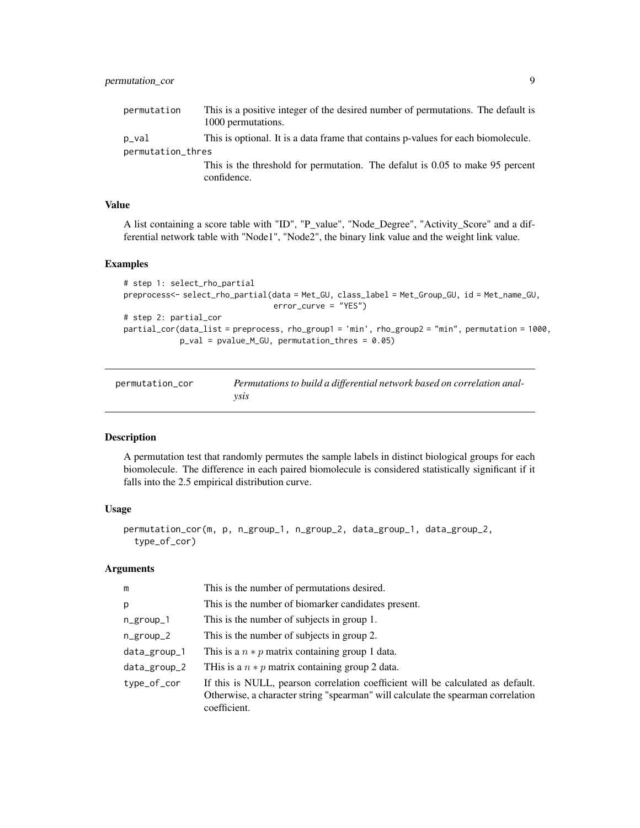# <span id="page-8-0"></span>permutation\_cor 9

| permutation       | This is a positive integer of the desired number of permutations. The default is<br>1000 permutations. |
|-------------------|--------------------------------------------------------------------------------------------------------|
| p_val             | This is optional. It is a data frame that contains p-values for each biomolecule.                      |
| permutation_thres |                                                                                                        |
|                   | This is the threshold for permutation. The defalut is 0.05 to make 95 percent                          |
|                   | confidence.                                                                                            |

# Value

A list containing a score table with "ID", "P\_value", "Node\_Degree", "Activity\_Score" and a differential network table with "Node1", "Node2", the binary link value and the weight link value.

# Examples

```
# step 1: select_rho_partial
preprocess<- select_rho_partial(data = Met_GU, class_label = Met_Group_GU, id = Met_name_GU,
                                error_curve = "YES")
# step 2: partial_cor
partial_cor(data_list = preprocess, rho_group1 = 'min', rho_group2 = "min", permutation = 1000,
            p_val = pvalue_M_GU, permutation_thres = 0.05)
```

| permutation cor | Permutations to build a differential network based on correlation anal- |
|-----------------|-------------------------------------------------------------------------|
|                 | vsıs                                                                    |

# Description

A permutation test that randomly permutes the sample labels in distinct biological groups for each biomolecule. The difference in each paired biomolecule is considered statistically significant if it falls into the 2.5 empirical distribution curve.

# Usage

```
permutation_cor(m, p, n_group_1, n_group_2, data_group_1, data_group_2,
  type_of_cor)
```
# Arguments

| m             | This is the number of permutations desired.                                                                                                                                         |
|---------------|-------------------------------------------------------------------------------------------------------------------------------------------------------------------------------------|
| p             | This is the number of biomarker candidates present.                                                                                                                                 |
| $n_{group1}$  | This is the number of subjects in group 1.                                                                                                                                          |
| $n_{group_2}$ | This is the number of subjects in group 2.                                                                                                                                          |
| data_group_1  | This is a $n * p$ matrix containing group 1 data.                                                                                                                                   |
| data_group_2  | THis is a $n * p$ matrix containing group 2 data.                                                                                                                                   |
| type_of_cor   | If this is NULL, pearson correlation coefficient will be calculated as default.<br>Otherwise, a character string "spearman" will calculate the spearman correlation<br>coefficient. |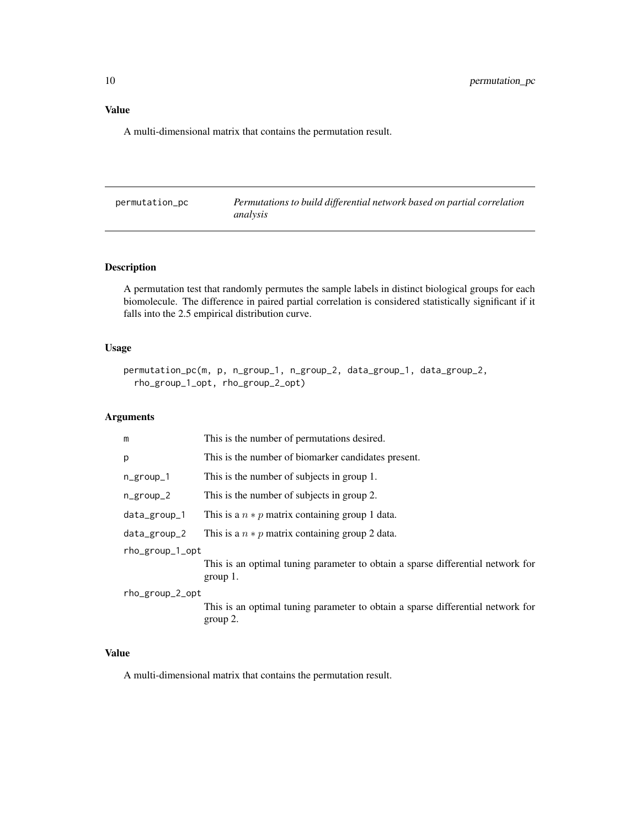<span id="page-9-0"></span>A multi-dimensional matrix that contains the permutation result.

| permutation_pc | Permutations to build differential network based on partial correlation |
|----------------|-------------------------------------------------------------------------|
|                | analysis                                                                |

# Description

A permutation test that randomly permutes the sample labels in distinct biological groups for each biomolecule. The difference in paired partial correlation is considered statistically significant if it falls into the 2.5 empirical distribution curve.

#### Usage

```
permutation_pc(m, p, n_group_1, n_group_2, data_group_1, data_group_2,
  rho_group_1_opt, rho_group_2_opt)
```
# Arguments

| m               | This is the number of permutations desired.                                                    |
|-----------------|------------------------------------------------------------------------------------------------|
| p               | This is the number of biomarker candidates present.                                            |
| n_group_1       | This is the number of subjects in group 1.                                                     |
| $n_{group_2}$   | This is the number of subjects in group 2.                                                     |
| data_group_1    | This is a $n * p$ matrix containing group 1 data.                                              |
| data_group_2    | This is a $n * p$ matrix containing group 2 data.                                              |
| rho_group_1_opt |                                                                                                |
|                 | This is an optimal tuning parameter to obtain a sparse differential network for<br>group $1$ . |
| rho_group_2_opt |                                                                                                |
|                 | This is an optimal tuning parameter to obtain a sparse differential network for<br>$group 2$ . |

#### Value

A multi-dimensional matrix that contains the permutation result.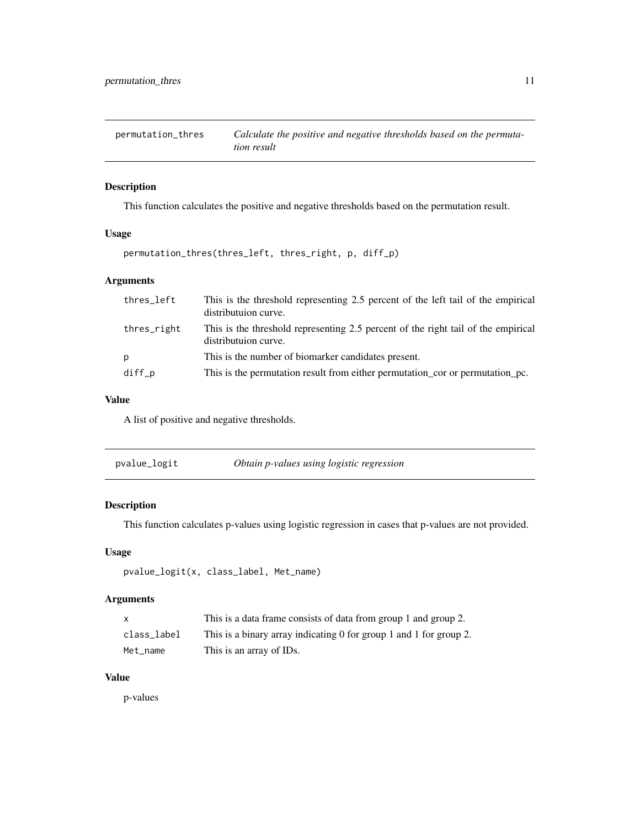<span id="page-10-0"></span>permutation\_thres *Calculate the positive and negative thresholds based on the permutation result*

# Description

This function calculates the positive and negative thresholds based on the permutation result.

# Usage

```
permutation_thres(thres_left, thres_right, p, diff_p)
```
# Arguments

| thres_left  | This is the threshold representing 2.5 percent of the left tail of the empirical<br>distributuion curve.  |
|-------------|-----------------------------------------------------------------------------------------------------------|
| thres_right | This is the threshold representing 2.5 percent of the right tail of the empirical<br>distributuion curve. |
| p           | This is the number of biomarker candidates present.                                                       |
| $diff_p$    | This is the permutation result from either permutation cor or permutation pc.                             |

### Value

A list of positive and negative thresholds.

| Obtain p-values using logistic regression<br>pvalue_logit |  |
|-----------------------------------------------------------|--|
|-----------------------------------------------------------|--|

# Description

This function calculates p-values using logistic regression in cases that p-values are not provided.

# Usage

```
pvalue_logit(x, class_label, Met_name)
```
# Arguments

| X           | This is a data frame consists of data from group 1 and group 2.    |
|-------------|--------------------------------------------------------------------|
| class label | This is a binary array indicating 0 for group 1 and 1 for group 2. |
| Met name    | This is an array of IDs.                                           |

# Value

p-values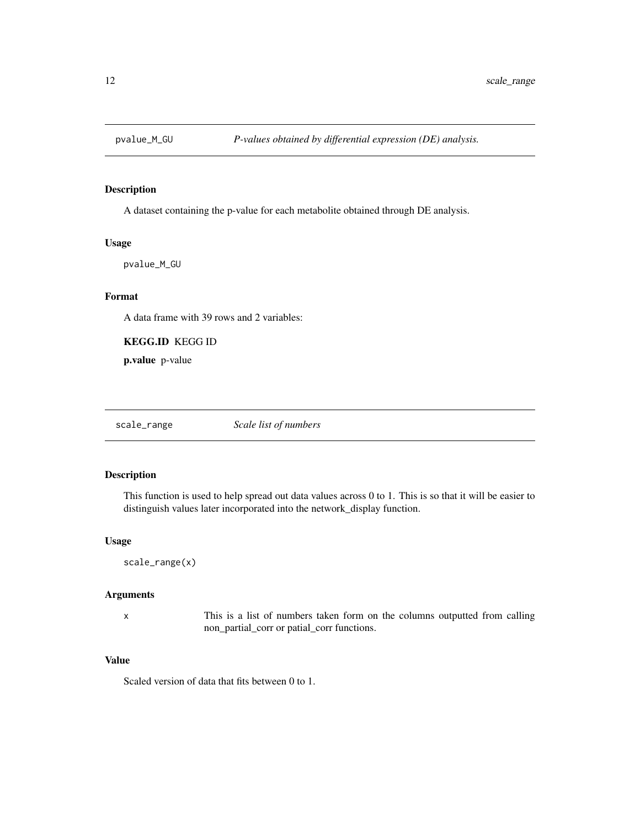<span id="page-11-0"></span>

# Description

A dataset containing the p-value for each metabolite obtained through DE analysis.

#### Usage

pvalue\_M\_GU

# Format

A data frame with 39 rows and 2 variables:

KEGG.ID KEGG ID

p.value p-value

scale\_range *Scale list of numbers*

# Description

This function is used to help spread out data values across 0 to 1. This is so that it will be easier to distinguish values later incorporated into the network\_display function.

# Usage

scale\_range(x)

#### Arguments

x This is a list of numbers taken form on the columns outputted from calling non\_partial\_corr or patial\_corr functions.

# Value

Scaled version of data that fits between 0 to 1.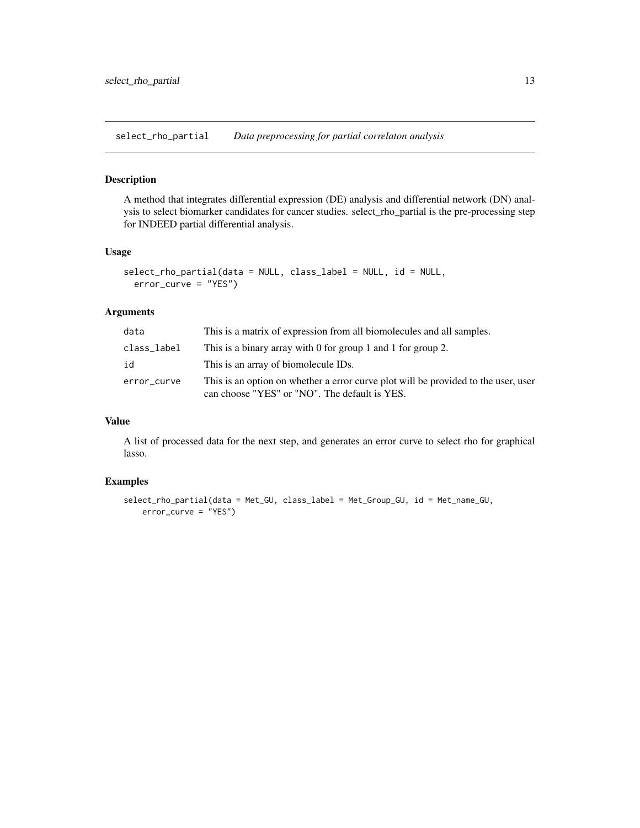<span id="page-12-0"></span>select\_rho\_partial *Data preprocessing for partial correlaton analysis*

# Description

A method that integrates differential expression (DE) analysis and differential network (DN) analysis to select biomarker candidates for cancer studies. select\_rho\_partial is the pre-processing step for INDEED partial differential analysis.

### Usage

```
select_rho_partial(data = NULL, class_label = NULL, id = NULL,
 error_curve = "YES")
```
#### Arguments

| data        | This is a matrix of expression from all biomolecules and all samples.                                                               |
|-------------|-------------------------------------------------------------------------------------------------------------------------------------|
| class_label | This is a binary array with 0 for group 1 and 1 for group 2.                                                                        |
| id          | This is an array of biomolecule IDs.                                                                                                |
| error_curve | This is an option on whether a error curve plot will be provided to the user, user<br>can choose "YES" or "NO". The default is YES. |

#### Value

A list of processed data for the next step, and generates an error curve to select rho for graphical lasso.

# Examples

```
select_rho_partial(data = Met_GU, class_label = Met_Group_GU, id = Met_name_GU,
   error_curve = "YES")
```